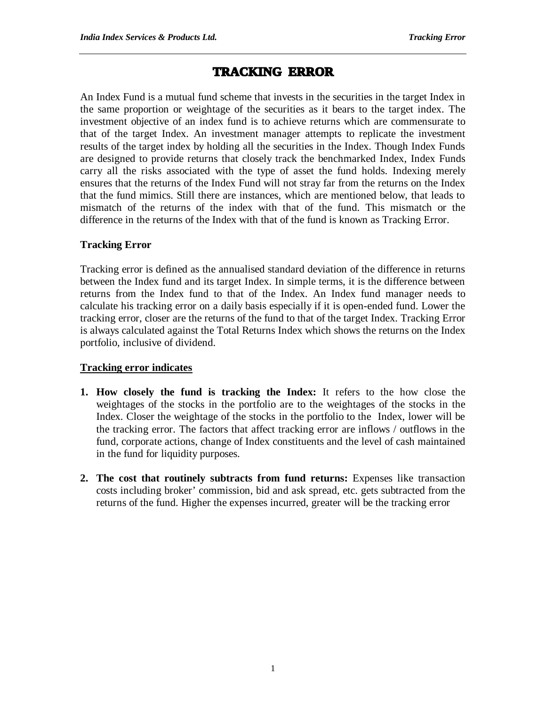# **TRACKING ERROR**

An Index Fund is a mutual fund scheme that invests in the securities in the target Index in the same proportion or weightage of the securities as it bears to the target index. The investment objective of an index fund is to achieve returns which are commensurate to that of the target Index. An investment manager attempts to replicate the investment results of the target index by holding all the securities in the Index. Though Index Funds are designed to provide returns that closely track the benchmarked Index, Index Funds carry all the risks associated with the type of asset the fund holds. Indexing merely ensures that the returns of the Index Fund will not stray far from the returns on the Index that the fund mimics. Still there are instances, which are mentioned below, that leads to mismatch of the returns of the index with that of the fund. This mismatch or the difference in the returns of the Index with that of the fund is known as Tracking Error.

### **Tracking Error**

Tracking error is defined as the annualised standard deviation of the difference in returns between the Index fund and its target Index. In simple terms, it is the difference between returns from the Index fund to that of the Index. An Index fund manager needs to calculate his tracking error on a daily basis especially if it is open-ended fund. Lower the tracking error, closer are the returns of the fund to that of the target Index. Tracking Error is always calculated against the Total Returns Index which shows the returns on the Index portfolio, inclusive of dividend.

### **Tracking error indicates**

- **1. How closely the fund is tracking the Index:** It refers to the how close the weightages of the stocks in the portfolio are to the weightages of the stocks in the Index. Closer the weightage of the stocks in the portfolio to the Index, lower will be the tracking error. The factors that affect tracking error are inflows / outflows in the fund, corporate actions, change of Index constituents and the level of cash maintained in the fund for liquidity purposes.
- **2. The cost that routinely subtracts from fund returns:** Expenses like transaction costs including broker' commission, bid and ask spread, etc. gets subtracted from the returns of the fund. Higher the expenses incurred, greater will be the tracking error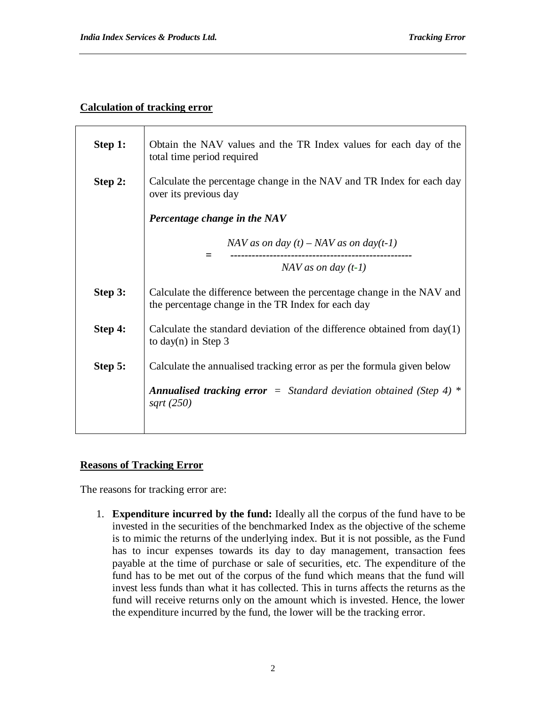# **Calculation of tracking error**

| Step 1: | Obtain the NAV values and the TR Index values for each day of the<br>total time period required                             |
|---------|-----------------------------------------------------------------------------------------------------------------------------|
| Step 2: | Calculate the percentage change in the NAV and TR Index for each day<br>over its previous day                               |
|         | Percentage change in the NAV                                                                                                |
|         | NAV as on day $(t)$ – NAV as on day $(t-1)$                                                                                 |
|         | $NAV$ as on day $(t-1)$                                                                                                     |
| Step 3: | Calculate the difference between the percentage change in the NAV and<br>the percentage change in the TR Index for each day |
| Step 4: | Calculate the standard deviation of the difference obtained from $day(1)$<br>to day(n) in Step $3$                          |
| Step 5: | Calculate the annualised tracking error as per the formula given below                                                      |
|         | <b>Annualised tracking error</b> = Standard deviation obtained (Step 4) $*$<br>sqrt $(250)$                                 |

# **Reasons of Tracking Error**

The reasons for tracking error are:

1. **Expenditure incurred by the fund:** Ideally all the corpus of the fund have to be invested in the securities of the benchmarked Index as the objective of the scheme is to mimic the returns of the underlying index. But it is not possible, as the Fund has to incur expenses towards its day to day management, transaction fees payable at the time of purchase or sale of securities, etc. The expenditure of the fund has to be met out of the corpus of the fund which means that the fund will invest less funds than what it has collected. This in turns affects the returns as the fund will receive returns only on the amount which is invested. Hence, the lower the expenditure incurred by the fund, the lower will be the tracking error.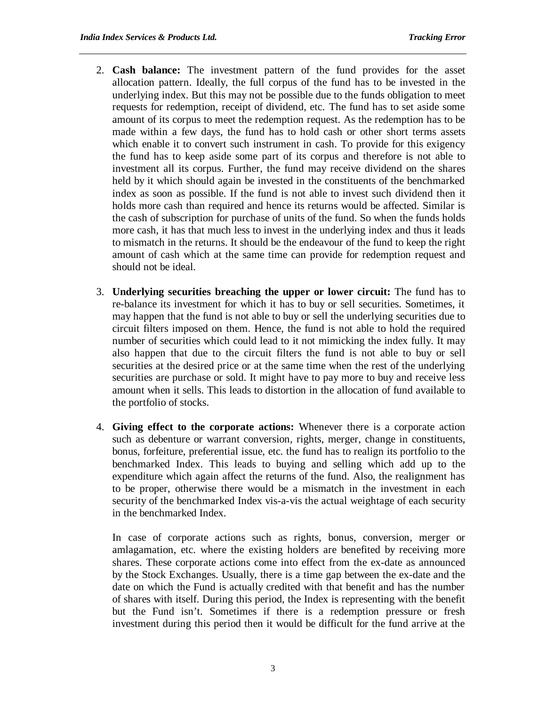- 2. **Cash balance:** The investment pattern of the fund provides for the asset allocation pattern. Ideally, the full corpus of the fund has to be invested in the underlying index. But this may not be possible due to the funds obligation to meet requests for redemption, receipt of dividend, etc. The fund has to set aside some amount of its corpus to meet the redemption request. As the redemption has to be made within a few days, the fund has to hold cash or other short terms assets which enable it to convert such instrument in cash. To provide for this exigency the fund has to keep aside some part of its corpus and therefore is not able to investment all its corpus. Further, the fund may receive dividend on the shares held by it which should again be invested in the constituents of the benchmarked index as soon as possible. If the fund is not able to invest such dividend then it holds more cash than required and hence its returns would be affected. Similar is the cash of subscription for purchase of units of the fund. So when the funds holds more cash, it has that much less to invest in the underlying index and thus it leads to mismatch in the returns. It should be the endeavour of the fund to keep the right amount of cash which at the same time can provide for redemption request and should not be ideal.
- 3. **Underlying securities breaching the upper or lower circuit:** The fund has to re-balance its investment for which it has to buy or sell securities. Sometimes, it may happen that the fund is not able to buy or sell the underlying securities due to circuit filters imposed on them. Hence, the fund is not able to hold the required number of securities which could lead to it not mimicking the index fully. It may also happen that due to the circuit filters the fund is not able to buy or sell securities at the desired price or at the same time when the rest of the underlying securities are purchase or sold. It might have to pay more to buy and receive less amount when it sells. This leads to distortion in the allocation of fund available to the portfolio of stocks.
- 4. **Giving effect to the corporate actions:** Whenever there is a corporate action such as debenture or warrant conversion, rights, merger, change in constituents, bonus, forfeiture, preferential issue, etc. the fund has to realign its portfolio to the benchmarked Index. This leads to buying and selling which add up to the expenditure which again affect the returns of the fund. Also, the realignment has to be proper, otherwise there would be a mismatch in the investment in each security of the benchmarked Index vis-a-vis the actual weightage of each security in the benchmarked Index.

In case of corporate actions such as rights, bonus, conversion, merger or amlagamation, etc. where the existing holders are benefited by receiving more shares. These corporate actions come into effect from the ex-date as announced by the Stock Exchanges. Usually, there is a time gap between the ex-date and the date on which the Fund is actually credited with that benefit and has the number of shares with itself. During this period, the Index is representing with the benefit but the Fund isn't. Sometimes if there is a redemption pressure or fresh investment during this period then it would be difficult for the fund arrive at the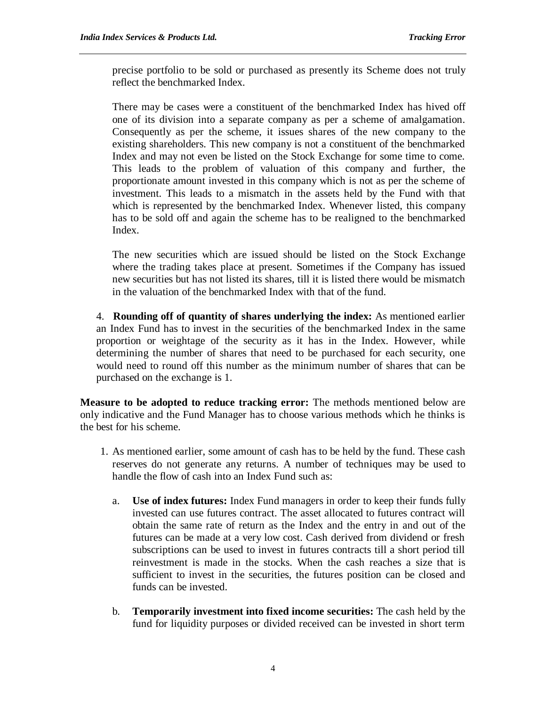precise portfolio to be sold or purchased as presently its Scheme does not truly reflect the benchmarked Index.

There may be cases were a constituent of the benchmarked Index has hived off one of its division into a separate company as per a scheme of amalgamation. Consequently as per the scheme, it issues shares of the new company to the existing shareholders. This new company is not a constituent of the benchmarked Index and may not even be listed on the Stock Exchange for some time to come. This leads to the problem of valuation of this company and further, the proportionate amount invested in this company which is not as per the scheme of investment. This leads to a mismatch in the assets held by the Fund with that which is represented by the benchmarked Index. Whenever listed, this company has to be sold off and again the scheme has to be realigned to the benchmarked Index.

The new securities which are issued should be listed on the Stock Exchange where the trading takes place at present. Sometimes if the Company has issued new securities but has not listed its shares, till it is listed there would be mismatch in the valuation of the benchmarked Index with that of the fund.

4. **Rounding off of quantity of shares underlying the index:** As mentioned earlier an Index Fund has to invest in the securities of the benchmarked Index in the same proportion or weightage of the security as it has in the Index. However, while determining the number of shares that need to be purchased for each security, one would need to round off this number as the minimum number of shares that can be purchased on the exchange is 1.

**Measure to be adopted to reduce tracking error:** The methods mentioned below are only indicative and the Fund Manager has to choose various methods which he thinks is the best for his scheme.

- 1. As mentioned earlier, some amount of cash has to be held by the fund. These cash reserves do not generate any returns. A number of techniques may be used to handle the flow of cash into an Index Fund such as:
	- a. **Use of index futures:** Index Fund managers in order to keep their funds fully invested can use futures contract. The asset allocated to futures contract will obtain the same rate of return as the Index and the entry in and out of the futures can be made at a very low cost. Cash derived from dividend or fresh subscriptions can be used to invest in futures contracts till a short period till reinvestment is made in the stocks. When the cash reaches a size that is sufficient to invest in the securities, the futures position can be closed and funds can be invested.
	- b. **Temporarily investment into fixed income securities:** The cash held by the fund for liquidity purposes or divided received can be invested in short term